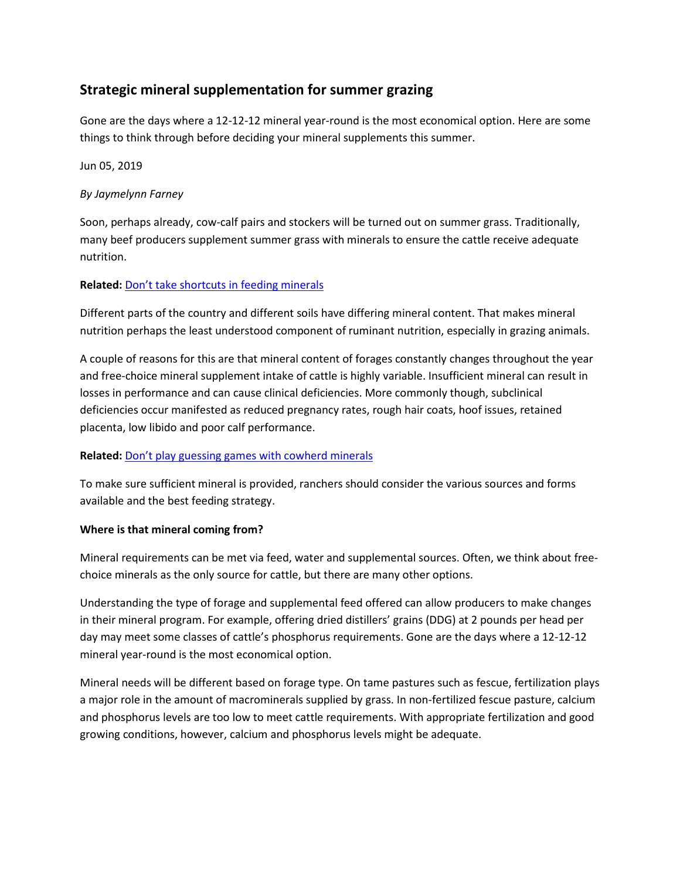# **Strategic mineral supplementation for summer grazing**

Gone are the days where a 12-12-12 mineral year-round is the most economical option. Here are some things to think through before deciding your mineral supplements this summer.

Jun 05, 2019

## *By Jaymelynn Farney*

Soon, perhaps already, cow-calf pairs and stockers will be turned out on summer grass. Traditionally, many beef producers supplement summer grass with minerals to ensure the cattle receive adequate nutrition.

## **Related:** [Don't take shortcuts in feeding minerals](https://www.beefmagazine.com/tackntogs/don-t-take-shortcuts-feeding-minerals)

Different parts of the country and different soils have differing mineral content. That makes mineral nutrition perhaps the least understood component of ruminant nutrition, especially in grazing animals.

A couple of reasons for this are that mineral content of forages constantly changes throughout the year and free-choice mineral supplement intake of cattle is highly variable. Insufficient mineral can result in losses in performance and can cause clinical deficiencies. More commonly though, subclinical deficiencies occur manifested as reduced pregnancy rates, rough hair coats, hoof issues, retained placenta, low libido and poor calf performance.

#### **Related:** [Don't play guessing games with cowherd minerals](https://www.beefmagazine.com/nutrition/don-t-play-guessing-games-cowherd-minerals)

To make sure sufficient mineral is provided, ranchers should consider the various sources and forms available and the best feeding strategy.

## **Where is that mineral coming from?**

Mineral requirements can be met via feed, water and supplemental sources. Often, we think about freechoice minerals as the only source for cattle, but there are many other options.

Understanding the type of forage and supplemental feed offered can allow producers to make changes in their mineral program. For example, offering dried distillers' grains (DDG) at 2 pounds per head per day may meet some classes of cattle's phosphorus requirements. Gone are the days where a 12-12-12 mineral year-round is the most economical option.

Mineral needs will be different based on forage type. On tame pastures such as fescue, fertilization plays a major role in the amount of macrominerals supplied by grass. In non-fertilized fescue pasture, calcium and phosphorus levels are too low to meet cattle requirements. With appropriate fertilization and good growing conditions, however, calcium and phosphorus levels might be adequate.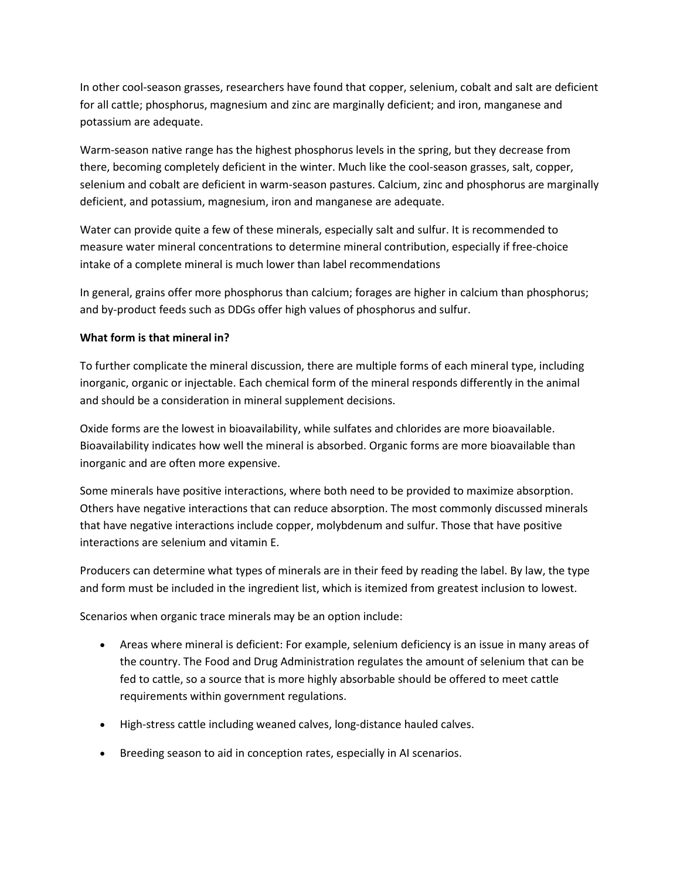In other cool-season grasses, researchers have found that copper, selenium, cobalt and salt are deficient for all cattle; phosphorus, magnesium and zinc are marginally deficient; and iron, manganese and potassium are adequate.

Warm-season native range has the highest phosphorus levels in the spring, but they decrease from there, becoming completely deficient in the winter. Much like the cool-season grasses, salt, copper, selenium and cobalt are deficient in warm-season pastures. Calcium, zinc and phosphorus are marginally deficient, and potassium, magnesium, iron and manganese are adequate.

Water can provide quite a few of these minerals, especially salt and sulfur. It is recommended to measure water mineral concentrations to determine mineral contribution, especially if free-choice intake of a complete mineral is much lower than label recommendations

In general, grains offer more phosphorus than calcium; forages are higher in calcium than phosphorus; and by-product feeds such as DDGs offer high values of phosphorus and sulfur.

## **What form is that mineral in?**

To further complicate the mineral discussion, there are multiple forms of each mineral type, including inorganic, organic or injectable. Each chemical form of the mineral responds differently in the animal and should be a consideration in mineral supplement decisions.

Oxide forms are the lowest in bioavailability, while sulfates and chlorides are more bioavailable. Bioavailability indicates how well the mineral is absorbed. Organic forms are more bioavailable than inorganic and are often more expensive.

Some minerals have positive interactions, where both need to be provided to maximize absorption. Others have negative interactions that can reduce absorption. The most commonly discussed minerals that have negative interactions include copper, molybdenum and sulfur. Those that have positive interactions are selenium and vitamin E.

Producers can determine what types of minerals are in their feed by reading the label. By law, the type and form must be included in the ingredient list, which is itemized from greatest inclusion to lowest.

Scenarios when organic trace minerals may be an option include:

- Areas where mineral is deficient: For example, selenium deficiency is an issue in many areas of the country. The Food and Drug Administration regulates the amount of selenium that can be fed to cattle, so a source that is more highly absorbable should be offered to meet cattle requirements within government regulations.
- High-stress cattle including weaned calves, long-distance hauled calves.
- Breeding season to aid in conception rates, especially in AI scenarios.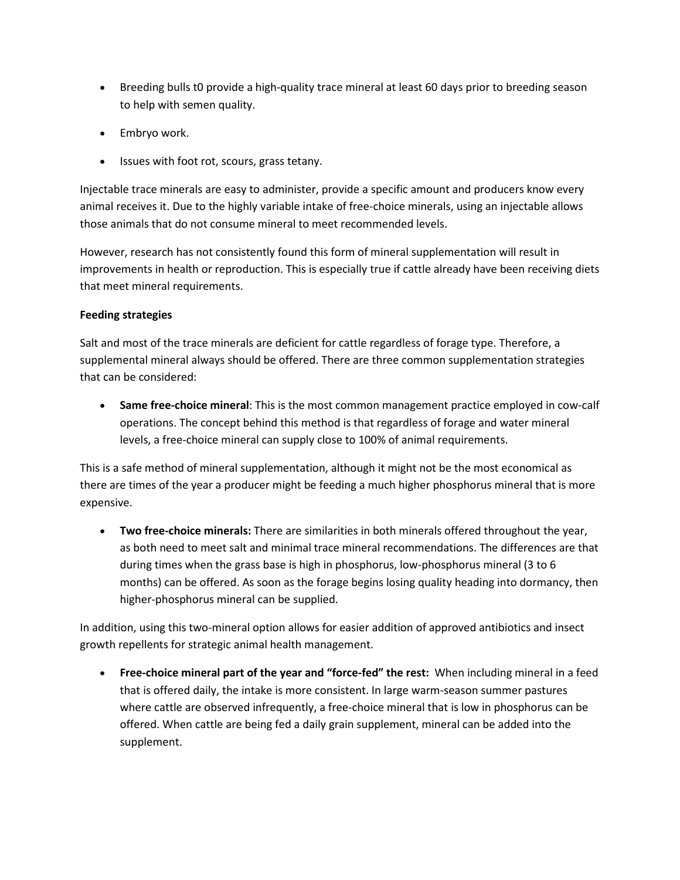- Breeding bulls t0 provide a high-quality trace mineral at least 60 days prior to breeding season to help with semen quality.
- Embryo work.
- Issues with foot rot, scours, grass tetany.

Injectable trace minerals are easy to administer, provide a specific amount and producers know every animal receives it. Due to the highly variable intake of free-choice minerals, using an injectable allows those animals that do not consume mineral to meet recommended levels.

However, research has not consistently found this form of mineral supplementation will result in improvements in health or reproduction. This is especially true if cattle already have been receiving diets that meet mineral requirements.

## **Feeding strategies**

Salt and most of the trace minerals are deficient for cattle regardless of forage type. Therefore, a supplemental mineral always should be offered. There are three common supplementation strategies that can be considered:

• **Same free-choice mineral**: This is the most common management practice employed in cow-calf operations. The concept behind this method is that regardless of forage and water mineral levels, a free-choice mineral can supply close to 100% of animal requirements.

This is a safe method of mineral supplementation, although it might not be the most economical as there are times of the year a producer might be feeding a much higher phosphorus mineral that is more expensive.

• **Two free-choice minerals:** There are similarities in both minerals offered throughout the year, as both need to meet salt and minimal trace mineral recommendations. The differences are that during times when the grass base is high in phosphorus, low-phosphorus mineral (3 to 6 months) can be offered. As soon as the forage begins losing quality heading into dormancy, then higher-phosphorus mineral can be supplied.

In addition, using this two-mineral option allows for easier addition of approved antibiotics and insect growth repellents for strategic animal health management.

• **Free-choice mineral part of the year and "force-fed" the rest:** When including mineral in a feed that is offered daily, the intake is more consistent. In large warm-season summer pastures where cattle are observed infrequently, a free-choice mineral that is low in phosphorus can be offered. When cattle are being fed a daily grain supplement, mineral can be added into the supplement.